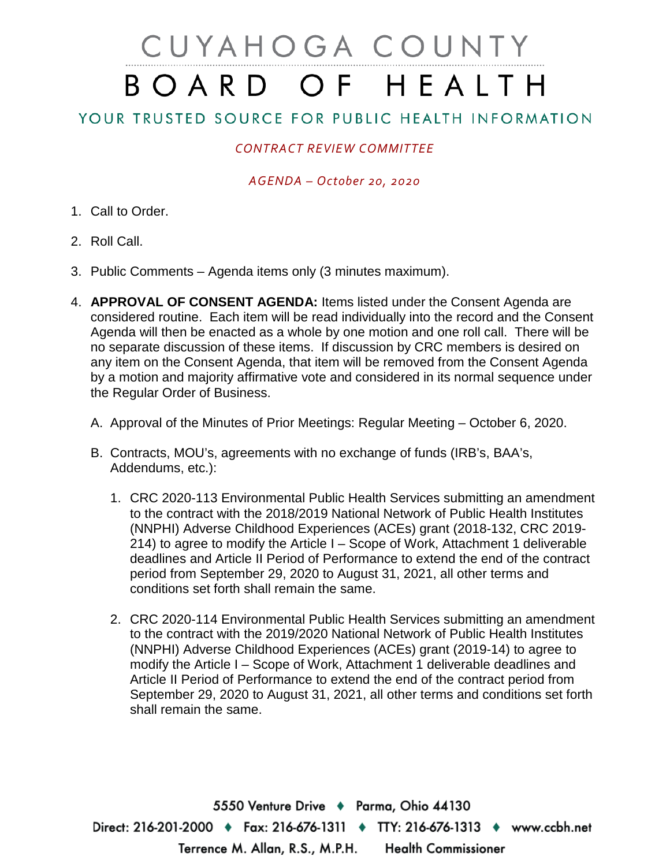## CUYAHOGA COUNTY BOARD OF HEALTH

YOUR TRUSTED SOURCE FOR PUBLIC HEALTH INFORMATION

## *CONTRACT REVIEW COMMITTEE*

## *AGENDA – October 20, 2020*

- 1. Call to Order.
- 2. Roll Call.
- 3. Public Comments Agenda items only (3 minutes maximum).
- 4. **APPROVAL OF CONSENT AGENDA:** Items listed under the Consent Agenda are considered routine. Each item will be read individually into the record and the Consent Agenda will then be enacted as a whole by one motion and one roll call. There will be no separate discussion of these items. If discussion by CRC members is desired on any item on the Consent Agenda, that item will be removed from the Consent Agenda by a motion and majority affirmative vote and considered in its normal sequence under the Regular Order of Business.
	- A. Approval of the Minutes of Prior Meetings: Regular Meeting October 6, 2020.
	- B. Contracts, MOU's, agreements with no exchange of funds (IRB's, BAA's, Addendums, etc.):
		- 1. CRC 2020-113 Environmental Public Health Services submitting an amendment to the contract with the 2018/2019 National Network of Public Health Institutes (NNPHI) Adverse Childhood Experiences (ACEs) grant (2018-132, CRC 2019- 214) to agree to modify the Article I – Scope of Work, Attachment 1 deliverable deadlines and Article II Period of Performance to extend the end of the contract period from September 29, 2020 to August 31, 2021, all other terms and conditions set forth shall remain the same.
		- 2. CRC 2020-114 Environmental Public Health Services submitting an amendment to the contract with the 2019/2020 National Network of Public Health Institutes (NNPHI) Adverse Childhood Experiences (ACEs) grant (2019-14) to agree to modify the Article I – Scope of Work, Attachment 1 deliverable deadlines and Article II Period of Performance to extend the end of the contract period from September 29, 2020 to August 31, 2021, all other terms and conditions set forth shall remain the same.

5550 Venture Drive ♦ Parma, Ohio 44130 Direct: 216-201-2000 ♦ Fax: 216-676-1311 ♦ TTY: 216-676-1313 ♦ www.ccbh.net Terrence M. Allan, R.S., M.P.H. **Health Commissioner**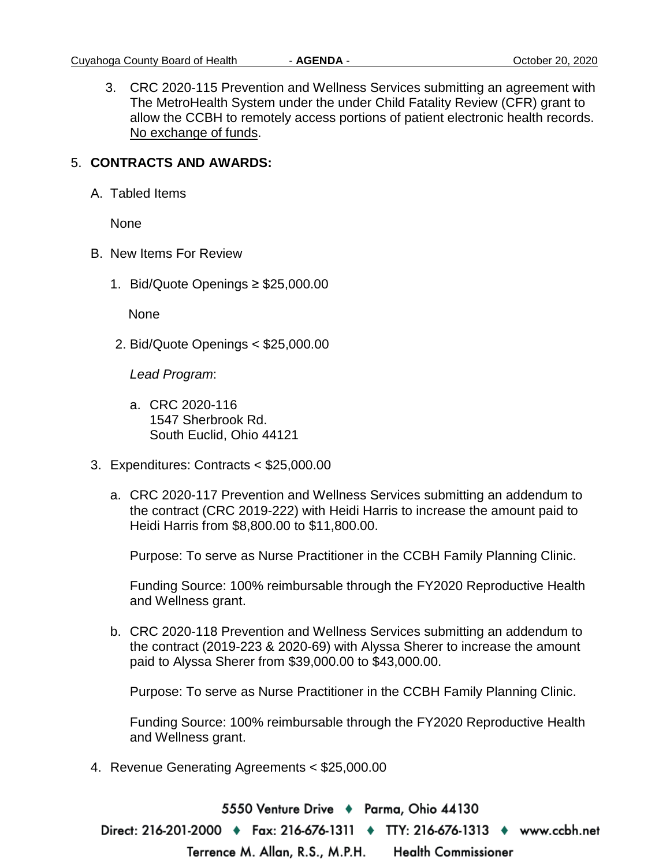3. CRC 2020-115 Prevention and Wellness Services submitting an agreement with The MetroHealth System under the under Child Fatality Review (CFR) grant to allow the CCBH to remotely access portions of patient electronic health records. No exchange of funds.

## 5. **CONTRACTS AND AWARDS:**

A. Tabled Items

None

- B. New Items For Review
	- 1. Bid/Quote Openings ≥ \$25,000.00

None

2. Bid/Quote Openings < \$25,000.00

*Lead Program*:

- a. CRC 2020-116 1547 Sherbrook Rd. South Euclid, Ohio 44121
- 3. Expenditures: Contracts < \$25,000.00
	- a. CRC 2020-117 Prevention and Wellness Services submitting an addendum to the contract (CRC 2019-222) with Heidi Harris to increase the amount paid to Heidi Harris from \$8,800.00 to \$11,800.00.

Purpose: To serve as Nurse Practitioner in the CCBH Family Planning Clinic.

Funding Source: 100% reimbursable through the FY2020 Reproductive Health and Wellness grant.

b. CRC 2020-118 Prevention and Wellness Services submitting an addendum to the contract (2019-223 & 2020-69) with Alyssa Sherer to increase the amount paid to Alyssa Sherer from \$39,000.00 to \$43,000.00.

Purpose: To serve as Nurse Practitioner in the CCBH Family Planning Clinic.

Funding Source: 100% reimbursable through the FY2020 Reproductive Health and Wellness grant.

4. Revenue Generating Agreements < \$25,000.00

5550 Venture Drive → Parma, Ohio 44130 Direct: 216-201-2000 ♦ Fax: 216-676-1311 ♦ TTY: 216-676-1313 ♦ www.ccbh.net **Health Commissioner** Terrence M. Allan, R.S., M.P.H.